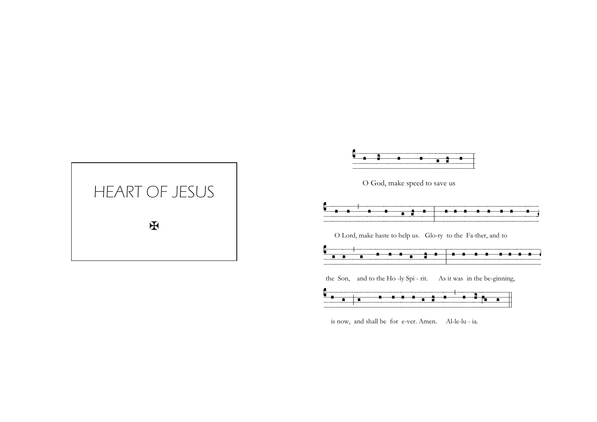



is now, and shall be for e-ver. Amen. Al-le-lu - ia.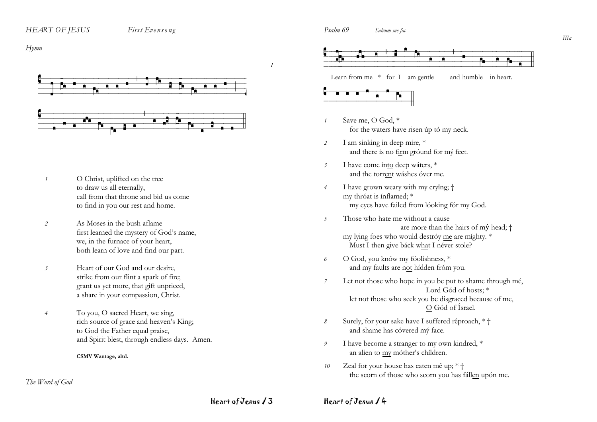#### First Evensong

 $Hvmn$ 



- O Christ, uplifted on the tree  $\overline{1}$ to draw us all eternally, call from that throne and bid us come to find in you our rest and home.
- As Moses in the bush aflame  $\overline{2}$ first learned the mystery of God's name, we, in the furnace of your heart, both learn of love and find our part.
- $\mathfrak{Z}$ Heart of our God and our desire. strike from our flint a spark of fire; grant us yet more, that gift unpriced, a share in your compassion, Christ.
- To you, O sacred Heart, we sing,  $\overline{4}$ rich source of grace and heaven's King; to God the Father equal praise, and Spirit blest, through endless days. Amen.

CSMV Wantage, altd.

#### The Word of God

Psalm 69 Salvum me fac



Learn from me  $*$  for I am gentle and humble in heart.



- Save me, O God, \* for the waters have risen úp tó my neck.
- I am sinking in deep mire, \* 2 and there is no firm ground for my feet.
- I have come ínto deep wáters, \*  $\overline{\mathbf{3}}$ and the torrent wáshes óver me.
- I have grown weary with my cryîng; †  $\overline{4}$ my thróat is ínflamed; \* my eyes have failed from lóoking fór my God.
- $\overline{5}$ Those who hate me without a cause are more than the hairs of mŷ head; † my lying foes who would destróy me are míghty. \* Must I then give báck what I néver stole?
- O God, vou knów my fóolishness. \* 6 and my faults are not hídden fróm you.
- Let not those who hope in you be put to shame through mé,  $\overline{z}$ Lord Gód of hosts: \* let not those who seek you be disgraced because of me, O Gód of Ísrael.
- Surely, for your sake have I suffered rêproach, \* †  $\mathcal S$ and shame has cóvered mý face.
- I have become a stranger to my own kindred, \* 9 an alien to my móther's chíldren.
- Zeal for your house has eaten mê up; \* + 10 the scorn of those who scorn you has fállen upón me.

# Heart of Jesus 13

 $\overline{I}$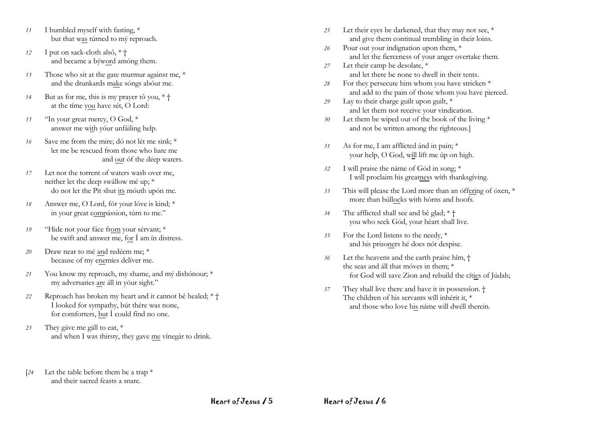- *11* I humbled myself with fasting, \* but that was túrned to mý reproach.
- *12* I put on sack-cloth alsô, \* † and became a býword amóng them.
- *13* Those who sit at the gate murmur against me, \* and the drunkards make sóngs abóut me.
- *14* But as for me, this is my prayer tô you, \* † at the tíme you have sét, O Lord:
- *15* "In your great mercy, O God, \* answer me with yóur unfáiling help.
- *16* Save me from the mire; dó not lét me sink; \* let me be rescued from those who hate me and out óf the déep waters.
- *17* Let not the torrent of waters wash over me, neither let the deep swállow mé up; \* do not let the Pit shut its móuth upón me.
- *18* Answer me, O Lord, fór your lóve is kind; \* in your great compássion, túrn to me."
- *19* "Hide not your fáce from your sérvant; \* be swift and answer me, for Í am ín distress.
- *20* Draw near to mé and redéem me; \* because of my enemíes delíver me.
- *21* You know my reproach, my shame, and mý dishónour; \* my adversaries are áll in yóur sight."
- *22* Reproach has broken my heart and it cannot bê healed; \* † I looked for sympathy, bút thére was none, for comforters, but Í could fínd no one.
- *23* They gáve me gáll to eat, \* and when I was thirsty, they gave me vínegár to drink.
- [*24* Let the table before them be a trap \* and their sacred feasts a snare.
- *25* Let their eyes be darkened, that they may not see, \* and give them continual trembling in their loins.
- *26* Pour out your indignation upon them, \* and let the fierceness of your anger overtake them.
- *27* Let their camp be desolate, \* and let there be none to dwell in their tents.
- *28* For they persecute him whom you have stricken \* and add to the pain of those whom you have pierced.
- *29* Lay to their charge guilt upon guilt, \* and let them not receive your vindication.
- *30* Let them be wiped out of the book of the living \* and not be written among the righteous.]
- *31* As for me, I am afflícted ánd in pain; \* your help, O God, will líft me úp on high.
- *32* I will praise the náme of Gód in song; \* I will proclaim his greatness wíth thanksgíving.
- *33* This will please the Lord more than an óffering of óxen, \* more than búllocks with hórns and hoofs.
- *34* The afflicted shall see and bê glad; \* † you who seek Gód, your héart shall live.
- *35* For the Lord listens to the needy, \* and his prisoners hé does nót despise.
- *36* Let the heavens and the earth praise hîm, † the seas and áll that móves in them; \* for God will save Zion and rebuild the cíties of Júdah;
- *37* They shall live there and have it in possessîon. † The children of his servants wíll inhérit it, \* and those who love his náme will dwéll therein.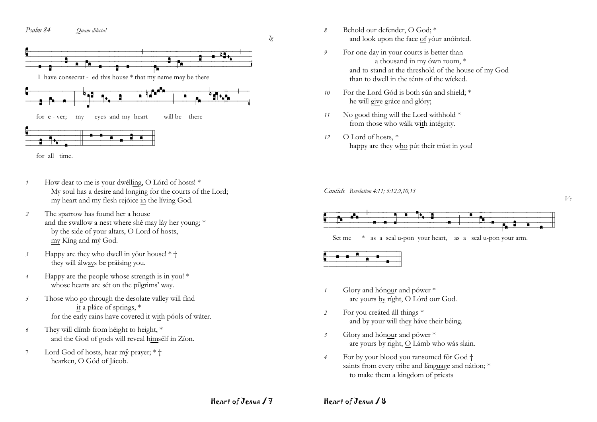



- *1* How dear to me is your dwélling, O Lórd of hosts! \* My soul has a desire and longing for the courts of the Lord; my heart and my flesh rejóice in the líving God.
- *2* The sparrow has found her a house and the swallow a nest where shé may láy her young; \* by the side of your altars, O Lord of hosts, my Kíng and mý God.
- *3* Happy are they who dwell in yôur house! \* † they will álways be práising you.
- *4* Happy are the people whose strength is in you! \* whose hearts are sét on the pílgrims' way.
- *5* Those who go through the desolate valley will fínd it a pláce of springs, \* for the early rains have covered it with póols of wáter.
- *6* They will clímb from héight to height, \* and the God of gods will reveal himsélf in Zíon.
- 7 Lord God of hosts, hear mŷ prayer;  $*$  † hearken, O Gód of Jácob.
- *8* Behold our defender, O God; \* and look upon the face of yóur anóinted.
- *9* For one day in your courts is better than a thousand ín my ówn room, \* and to stand at the threshold of the house of my God than to dwell in the ténts of the wícked.
- *10* For the Lord Gód is both sún and shield; \* he will give gráce and glóry;
- *11* No good thing will the Lord withhold \* from those who wálk with intégrity.
- *12* O Lord of hosts, \* happy are they who pút their trúst in you!

*Canticle Revelation 4:11; 5:12,9,10,13*







- *1* Glory and hónour and pówer \* are yours by ríght, O Lórd our God.
- *2* For you creáted áll things \* and by your will they háve their béing.
- *3* Glory and hónour and pówer \* are yours by right, O Lámb who wás slain.
- *4* For by your blood you ransomed fôr God † saints from every tribe and lánguage and nátion; \* to make them a kingdom of priests

Heart of Jesus / 7

*Ig*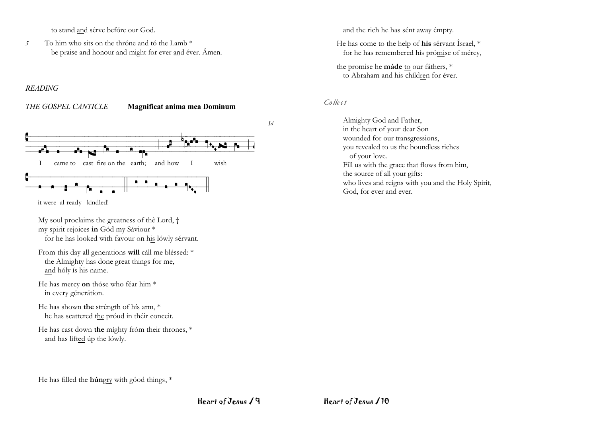to stand and sérve befóre our God.

To him who sits on the throne and to the Lamb \*  $\overline{5}$ be praise and honour and might for ever and éver. Ámen.

#### **READING**

#### THE GOSPEL CANTICLE

#### Magnificat anima mea Dominum



it were al-ready kindled!

My soul proclaims the greatness of the Lord, † my spirit rejoices in Gód my Sáviour \*

for he has looked with favour on his lówly sérvant.

From this day all generations will cáll me bléssed: \* the Almighty has done great things for me, and hóly ís his name.

- He has mercy on thóse who féar him \* in every génerátion.
- He has shown the stréngth of hís arm, \* he has scattered the próud in théir conceit.
- He has cast down the mighty from their thrones, \* and has lifted úp the lówly.

and the rich he has sént away émpty.

He has come to the help of his sérvant Ísrael, \* for he has remembered his prómise of mércy,

the promise he máde to our fáthers, \* to Abraham and his children for éver.

### $\mathcal{C}$ ollect

 $Id$ 

Almighty God and Father, in the heart of your dear Son wounded for our transgressions. you revealed to us the boundless riches of your love. Fill us with the grace that flows from him, the source of all your gifts: who lives and reigns with you and the Holy Spirit, God, for ever and ever.

He has filled the **hún**gry with góod things, \*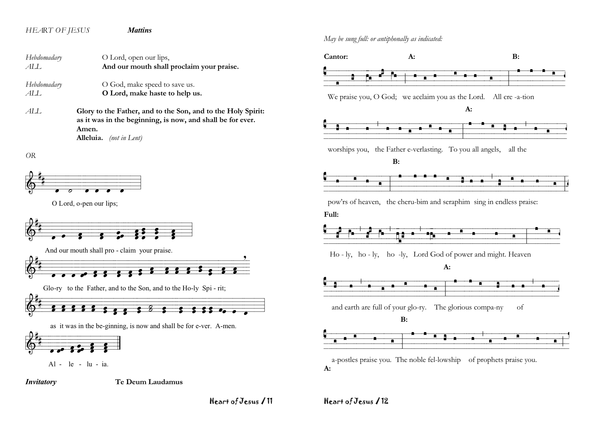# *HEART OF JESUS Mattins*

*Hebdomadary* **O Lord**, open our lips, *ALL* **And our mouth shall proclaim your praise.** *Hebdomadary* **O God, make speed to save us.** *ALL* **O Lord, make haste to help us.**

*ALL* **Glory to the Father, and to the Son, and to the Holy Spirit: as it was in the beginning, is now, and shall be for ever. Amen. Alleluia.** *(not in Lent)*

*OR*



O Lord, o-pen our lips;







as it was in the be-ginning, is now and shall be for e-ver. A-men.



Al - le - lu - ia.

*Invitatory* **Te Deum Laudamus**

Heart of Jesus / 11



*May be sung full: or antiphonally as indicated:*

 a-postles praise you. The noble fel-lowship of prophets praise you. **A:**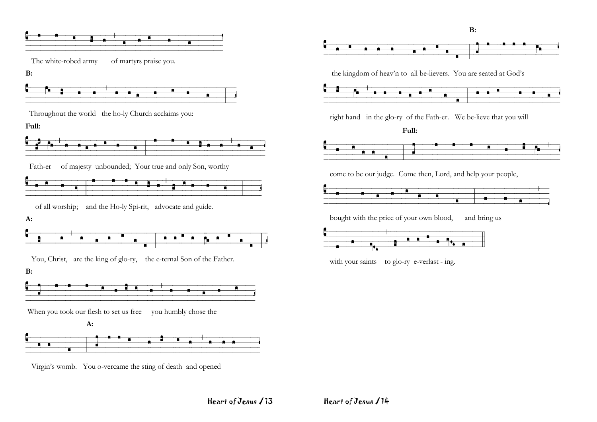![](_page_6_Figure_0.jpeg)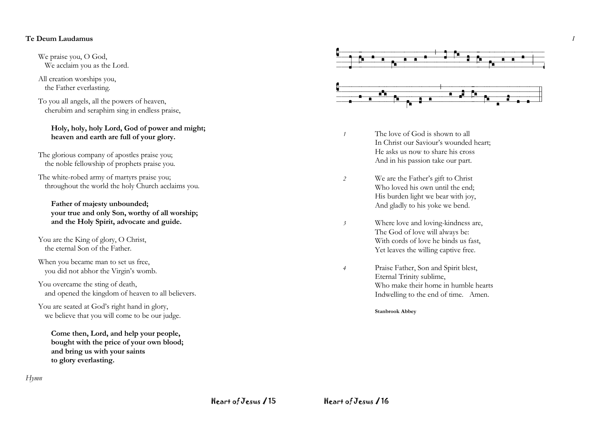#### **Te Deum Laudamus**

We praise you, O God, We acclaim you as the Lord.

All creation worships you, the Father everlasting.

To you all angels, all the powers of heaven, cherubim and seraphim sing in endless praise,

#### **Holy, holy, holy Lord, God of power and might; heaven and earth are full of your glory.**

The glorious company of apostles praise you; the noble fellowship of prophets praise you.

The white-robed army of martyrs praise you; throughout the world the holy Church acclaims you.

#### **Father of majesty unbounded; your true and only Son, worthy of all worship; and the Holy Spirit, advocate and guide.**

You are the King of glory, O Christ, the eternal Son of the Father.

When you became man to set us free, you did not abhor the Virgin's womb.

You overcame the sting of death, and opened the kingdom of heaven to all believers.

You are seated at God's right hand in glory, we believe that you will come to be our judge.

**Come then, Lord, and help your people, bought with the price of your own blood; and bring us with your saints to glory everlasting.**

![](_page_7_Figure_13.jpeg)

*I*

- *1* The love of God is shown to all In Christ our Saviour's wounded heart; He asks us now to share his cross And in his passion take our part.
- *2* We are the Father's gift to Christ Who loved his own until the end; His burden light we bear with joy, And gladly to his yoke we bend.
- *3* Where love and loving-kindness are, The God of love will always be: With cords of love he binds us fast, Yet leaves the willing captive free.
- *4* Praise Father, Son and Spirit blest, Eternal Trinity sublime, Who make their home in humble hearts Indwelling to the end of time. Amen.

**Stanbrook Abbey**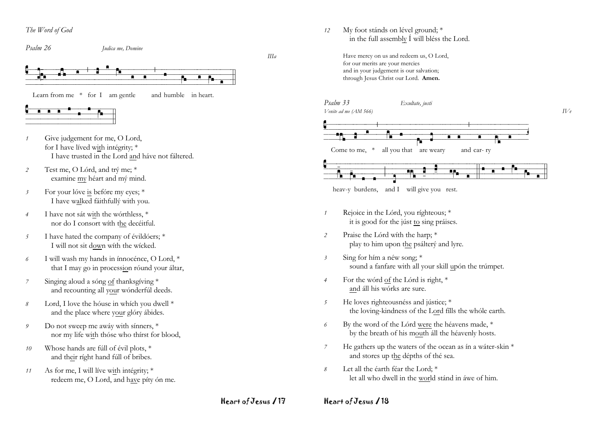## The Word of God

Psalm 26

Iudica me, Domine

![](_page_8_Figure_4.jpeg)

Learn from me  $*$  for I am gentle and humble in heart.

![](_page_8_Figure_6.jpeg)

- Give judgement for me, O Lord,  $\overline{1}$ for I have lived with intégrity; \* I have trusted in the Lord and have not faltered.
- $\overline{2}$ Test me, O Lórd, and trý me; \* examine my héart and mý mind.
- For your lóve is befóre my eyes; \*  $\overline{\mathbf{3}}$ I have walked fáithfullý with you.
- $\overline{4}$ I have not sát with the wórthless, \* nor do I consort with the decéitful.
- I have hated the company of évildóers; \* 5 I will not sit down with the wicked.
- I will wash my hands in ínnocénce, O Lord, \* 6 that I may go in procession róund your áltar,
- Singing aloud a sóng of thanksgiving \*  $\overline{7}$ and recounting all your wonderful deeds.
- Lord, I love the house in which you dwell \*  $\mathcal{S}_{\mathcal{S}}$ and the place where your glóry ábides.
- Do not sweep me awáy with sínners, \* 9 nor my life with thóse who thírst for blood,
- Whose hands are fúll of évil plots, \* 10 and their right hand fúll of bribes.
- As for me, I will live with intégrity; \*  $11$ redeem me, O Lord, and have pity on me.

My foot stánds on lével ground; \*  $12$ in the full assembly  $\acute{I}$  will bléss the Lord.

> Have mercy on us and redeem us, O Lord, for our merits are your mercies and in your judgement is our salvation; through Jesus Christ our Lord. Amen.

![](_page_8_Figure_20.jpeg)

![](_page_8_Figure_22.jpeg)

![](_page_8_Figure_23.jpeg)

![](_page_8_Figure_24.jpeg)

- Rejoice in the Lórd, you ríghteous; \*  $\overline{1}$ it is good for the just to sing praises.
- Praise the Lórd with the harp; \* 2 play to him upon the psálterý and lyre.
- $\mathfrak{Z}$ Sing for hím a néw song; \* sound a fanfare with all your skill upón the trúmpet.
- For the word of the Lord is right, \*  $\overline{4}$ and áll his wórks are sure.
- He loves righteousnéss and jústice; \*  $\overline{5}$ the loving-kindness of the Lord fills the whóle earth.
- By the word of the Lórd were the héavens made, \* 6 by the breath of his mouth all the heavenly hosts.
- He gathers up the waters of the ocean as in a water-skin \*  $\overline{7}$ and stores up the dépths of thé sea.
- Let all the éarth féar the Lord: \*  $\mathcal{S}_{\mathcal{S}}$ let all who dwell in the world stand in awe of him.

Heart of Jesus / 17

 $IIIa$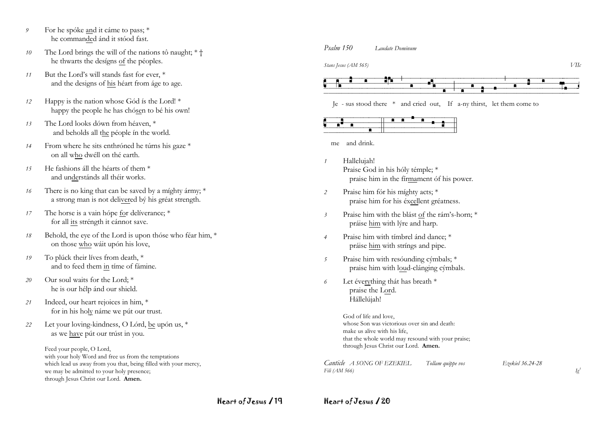- For he spóke and it cáme to pass; \* 9 he commanded ánd it stóod fast.
- 10 The Lord brings the will of the nations tô naught;  $*$  + he thwarts the desígns of the péoples.
- But the Lord's will stands fast for ever, \*  $11$ and the designs of his héart from áge to age.
- Happy is the nation whose Gód is the Lord! \*  $12$ happy the people he has chósen to bé his own!
- The Lord looks dówn from héaven. \*  $13$ and beholds all the péople in the world.
- From where he sits enthróned he túrns his gaze \* 14 on all who dwéll on thé earth.
- He fashions áll the héarts of them \*  $15$ and understánds all théir works.
- There is no king that can be saved by a míghty ármy; \*  $16$ a strong man is not delivered bý his gréat strength.
- The horse is a vain hópe for deliverance; \*  $17$ for all its stréngth it cánnot save.
- Behold, the eye of the Lord is upon thóse who féar him, \* 18 on those who wáit upón his love,
- To plúck their líves from death, \* 19 and to feed them in time of fámine.
- Our soul waits for the Lord: \*  $20$ he is our hélp ánd our shield.
- Indeed, our heart rejoices in him, \* 21 for in his holy náme we pút our trust.
- Let your loving-kindness, O Lórd, be upón us, \* 22 as we have pút our trúst in you.

Feed your people, O Lord, with your holy Word and free us from the temptations which lead us away from you that, being filled with your mercy, we may be admitted to your holy presence; through Jesus Christ our Lord. Amen.

#### $P_{\text{calm}}$  150 I audate Dominum

Stans Jesus (AM 565)

![](_page_9_Figure_17.jpeg)

Je - sus stood there \* and cried out, If a-ny thirst, let them come to

![](_page_9_Figure_19.jpeg)

me and drink.

- Hallelujah! Praise God in his hóly témple; \* praise him in the firmament of his power.
- Praise him fór his míghty acts; \*  $\mathcal{P}$ praise him for his éxcellent gréatness.
- $\overline{\mathfrak{z}}$ Praise him with the blást of the rám's-horn; \* práise him with lýre and harp.
- Praise him with tímbrel ánd dance; \*  $\overline{4}$ práise him with stríngs and pipe.
- Praise him with resounding cymbals; \*  $\sqrt{2}$ praise him with loud-clánging cýmbals.
- Let éverything thát has breath \* 6 praise the Lord. Hállelújah!

God of life and love. whose Son was victorious over sin and death: make us alive with his life. that the whole world may resound with your praise; through Jesus Christ our Lord. Amen.

Canticle A SONG OF EZEKIEL Tollam quippe vos Fili (AM 566)

Ezekiel 36.24-28

Heart of Jesus / 19

Heart of Jesus / 20

 $V$ IIc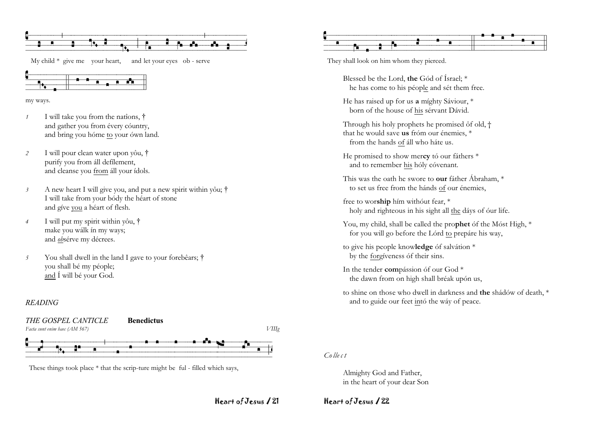![](_page_10_Figure_0.jpeg)

My child  $*$  give me your heart, and let your eyes ob - serve

![](_page_10_Figure_2.jpeg)

my ways.

- I will take you from the nations, †  $\overline{1}$ and gather you from évery cóuntry, and bring you hóme to your ówn land.
- 2 I will pour clean water upon you, † purify you from all defilement. and cleanse you from áll your ídols.
- A new heart I will give you, and put a new spirit within you; †  $\mathfrak{Z}$ I will take from your bódy the héart of stone and give you a héart of flesh.
- I will put my spirit within you, †  $\overline{4}$ make you wálk ín my ways; and obsérve my décrees.
- You shall dwell in the land I gave to your forebears; †  $\overline{5}$ you shall bé my péople; and Í will bé your God.

#### **READING**

![](_page_10_Figure_10.jpeg)

These things took place \* that the scrip-ture might be ful - filled which says,

![](_page_10_Figure_12.jpeg)

They shall look on him whom they pierced.

Blessed be the Lord, the Gód of Ísrael: \* he has come to his péople and sét them free.

He has raised up for us a míghty Sáviour, \* born of the house of his sérvant Dávid.

Through his holy prophets he promised ôf old, † that he would save us fróm our énemies, \* from the hands of áll who háte us.

- He promised to show mercy to our fathers \* and to remember his hóly cóvenant.
- This was the oath he swore to **our** father Abraham, \* to set us free from the hánds of our énemies.

free to worship him without fear, \* holy and righteous in his sight all the dáys of our life.

- You, my child, shall be called the prophet of the Most High, \* for you will go before the Lórd to prepáre his way,
- to give his people knowledge óf salvátion \* by the forgíveness óf their sins.
- In the tender compássion óf our God<sup>\*</sup> the dawn from on high shall bréak upón us,
- to shine on those who dwell in darkness and the shadow of death, \* and to guide our feet intó the wáy of peace.

#### $Calculate$

Almighty God and Father, in the heart of your dear Son

Heart of Jesus 121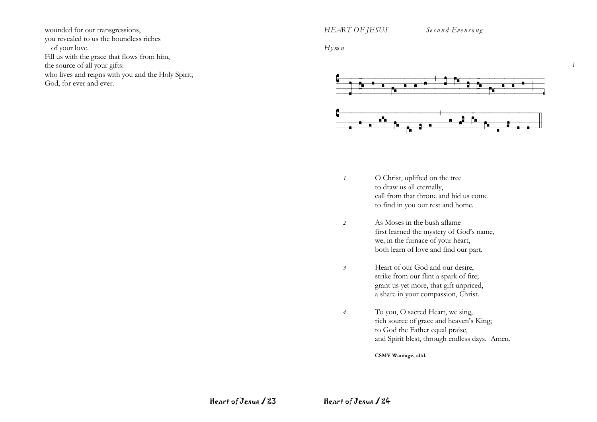wounded for our transgressions, you revealed to us the boundless riches of your love. Fill us with the grace that flows from him, the source of all your gifts: who lives and reigns with you and the Holy Spirit, God, for ever and ever.

*HEART OF JESUS Se c o n d Eve n so n g*

*I*

*Hym n*

![](_page_11_Figure_4.jpeg)

- *1* O Christ, uplifted on the tree to draw us all eternally, call from that throne and bid us come to find in you our rest and home.
- *2* As Moses in the bush aflame first learned the mystery of God's name, we, in the furnace of your heart, both learn of love and find our part.
- *3* Heart of our God and our desire, strike from our flint a spark of fire; grant us yet more, that gift unpriced, a share in your compassion, Christ.
- *4* To you, O sacred Heart, we sing, rich source of grace and heaven's King; to God the Father equal praise, and Spirit blest, through endless days. Amen.

**CSMV Wantage, altd.**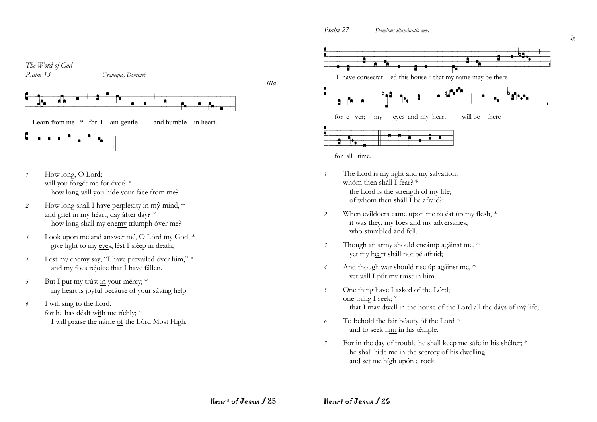Psalm 27 Dominus illuminatio mea

![](_page_12_Figure_1.jpeg)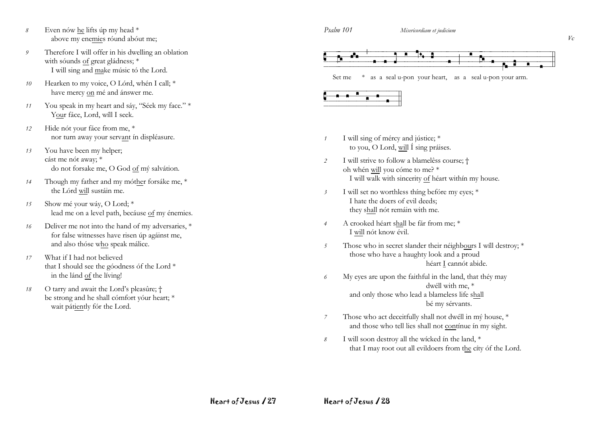- *8* Even nów he lifts úp my head \* above my enemies róund abóut me;
- *9* Therefore I will offer in his dwelling an oblation with sóunds of great gládness; \* I will sing and make músic tó the Lord.
- *10* Hearken to my voice, O Lórd, whén I call; \* have mercy on mé and ánswer me.
- *11* You speak in my heart and sáy, "Séek my face." \* Your fáce, Lord, wíll I seek.
- *12* Hide nót your fáce from me, \* nor turn away your servant ín displéasure.
- *13* You have been my helper; cást me nót away; \* do not forsake me, O God of mý salvátion.
- *14* Though my father and my móther forsáke me, \* the Lórd will sustáin me.
- *15* Show mé your wáy, O Lord; \* lead me on a level path, becáuse of my énemies.
- *16* Deliver me not into the hand of my adversaries, \* for false witnesses have risen úp agáinst me, and also thóse who speak málice.
- *17* What if I had not believed that I should see the góodness óf the Lord \* in the lánd of the líving!
- *18* O tarry and await the Lord's pleasûre; † be strong and he shall cómfort yóur heart; \* wait pátiently fór the Lord.

![](_page_13_Figure_13.jpeg)

Set me  $*$  as a seal u-pon your heart, as a seal u-pon your arm.

![](_page_13_Figure_15.jpeg)

- *1* I will sing of mércy and jústice; \* to you, O Lord, will Í sing práises.
- *2* I will strive to follow a blamelêss course; † oh whén will you cóme to me? \* I will walk with sincerity of héart withín my house.
- *3* I will set no worthless thíng befóre my eyes; \* I hate the doers of evil deeds; they shall nót remáin with me.
- *4* A crooked héart shall be fár from me; \* I will nót know évil.
- *5* Those who in secret slander their néighbours I wíll destroy; \* those who have a haughty look and a proud héart I cannót abide.
- *6* My eyes are upon the faithful in the land, that théy may dwéll with me, \* and only those who lead a blameless life shall bé my sérvants.
- *7* Those who act deceitfully shall not dwéll in mý house, \* and those who tell lies shall not contínue ín my sight.
- *8* I will soon destroy all the wícked ín the land, \* that I may root out all evildoers from the cíty óf the Lord.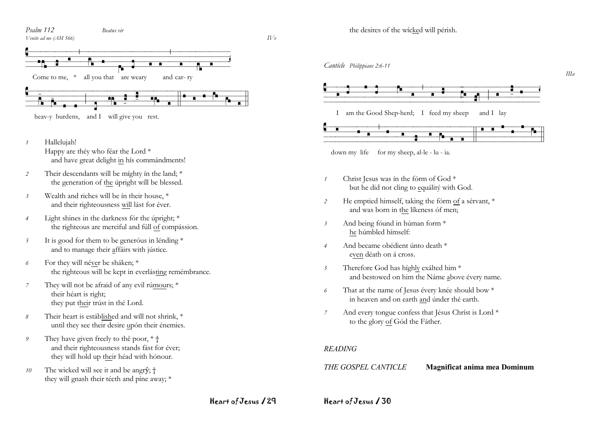![](_page_14_Figure_0.jpeg)

![](_page_14_Figure_1.jpeg)

- Hallelujah!  $\overline{1}$ Happy are théy who féar the Lord<sup>\*</sup> and have great delight in hís commándments!
- Their descendants will be míghty ín the land; \* 2 the generation of the úpright will be blessed.
- Wealth and riches will be in their house. \*  $\mathfrak{Z}$ and their righteousness will lást for éver.
- Light shines in the darkness fór the úpright; \*  $\overline{4}$ the righteous are merciful and fúll of compássion.
- It is good for them to be generóus in lénding \*  $\overline{5}$ and to manage their affáirs with jústice.
- For they will néver be sháken; \* 6 the righteous will be kept in everlásting remémbrance.
- They will not be afraid of any evil rúmours; \*  $\overline{7}$ their héart is right: they put their trúst in thé Lord.
- Their heart is estáblished and will not shrink, \*  $\mathcal{S}_{\mathcal{S}}$ until they see their desire upón their énemies.
- They have given freely to the poor, \* +  $\mathfrak{g}$ and their righteousness stands fást for éver; they will hold up their héad with hónour.
- The wicked will see it and be angry; +  $10$ they will gnash their téeth and pine away; \*

![](_page_14_Figure_13.jpeg)

 $\overline{IL}$